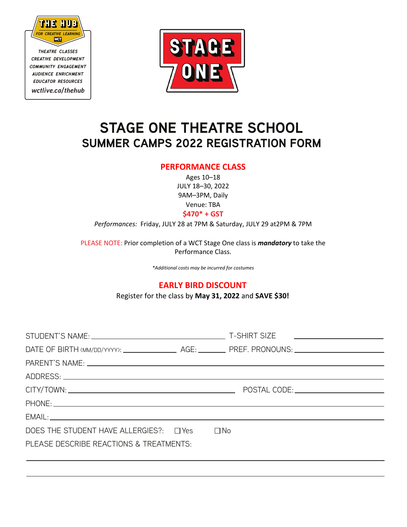

*theatre classes creative development community engagement audience enrichment educator resources wctlive.ca/thehub*



## **STAGE ONE THEATRE SCHOOL SUMMER CAMPS 2022 REGISTRATION FORM**

## **PERFORMANCE CLASS**

Ages 10–18 JULY 18–30, 2022 9AM–3PM, Daily Venue: T U Actor s Workshop Theatre

**\$470\* + GST**

*Performances:* Friday, JULY 28 at 7PM & Saturday, JULY 29 at2PM & 7PM

PLEASE NOTE: Prior completion of a WCT Stage One class is *mandatory* to take the Performance Class.

*\*Additional costs may be incurred for costumes*

## **EARLY BIRD DISCOUNT**

Register for the class by **June 10, 2022** and **SAVE \$30!**

|                                                                                                                |  | T-SHIRT SIZE <u>____________________</u>                                                                       |
|----------------------------------------------------------------------------------------------------------------|--|----------------------------------------------------------------------------------------------------------------|
|                                                                                                                |  |                                                                                                                |
| PARENT'S NAME: University of the state of the state of the state of the state of the state of the state of the |  |                                                                                                                |
|                                                                                                                |  |                                                                                                                |
|                                                                                                                |  | POSTAL CODE: NAME OF STRAINING STRAINING STRAINING STRAINING STRAINING STRAINING STRAINING STRAINING STRAINING |
|                                                                                                                |  |                                                                                                                |
|                                                                                                                |  |                                                                                                                |
| DOES THE STUDENT HAVE ALLERGIES?: $\Box$ Yes $\Box$ No                                                         |  |                                                                                                                |
| PLEASE DESCRIBE REACTIONS & TREATMENTS:                                                                        |  |                                                                                                                |
|                                                                                                                |  |                                                                                                                |